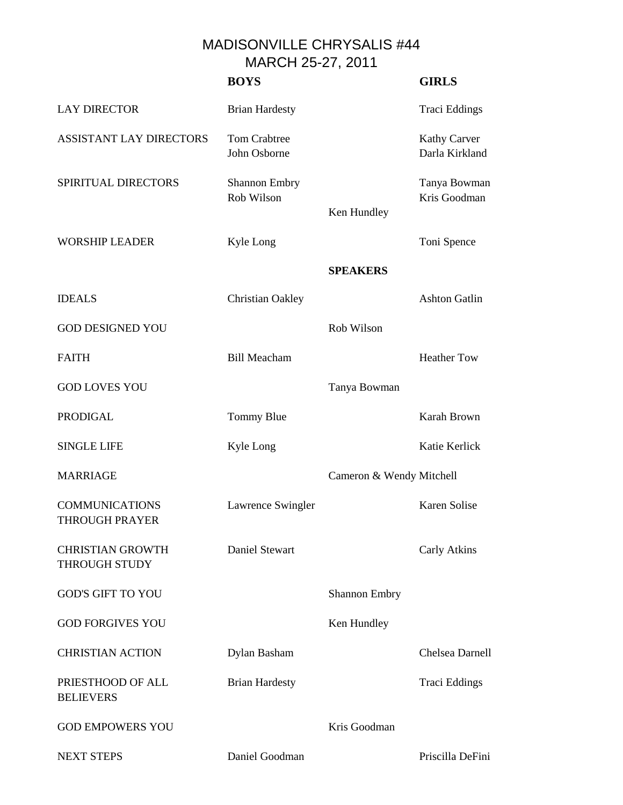MADISONVILLE CHRYSALIS #44 MARCH 25-27, 2011

|                                                 | <b>BOYS</b>                         |                          | <b>GIRLS</b>                          |
|-------------------------------------------------|-------------------------------------|--------------------------|---------------------------------------|
| <b>LAY DIRECTOR</b>                             | <b>Brian Hardesty</b>               |                          | Traci Eddings                         |
| <b>ASSISTANT LAY DIRECTORS</b>                  | <b>Tom Crabtree</b><br>John Osborne |                          | <b>Kathy Carver</b><br>Darla Kirkland |
| SPIRITUAL DIRECTORS                             | Shannon Embry<br>Rob Wilson         | Ken Hundley              | Tanya Bowman<br>Kris Goodman          |
| <b>WORSHIP LEADER</b>                           | Kyle Long                           |                          | Toni Spence                           |
|                                                 |                                     | <b>SPEAKERS</b>          |                                       |
| <b>IDEALS</b>                                   | Christian Oakley                    |                          | <b>Ashton Gatlin</b>                  |
| <b>GOD DESIGNED YOU</b>                         |                                     | Rob Wilson               |                                       |
| <b>FAITH</b>                                    | <b>Bill Meacham</b>                 |                          | <b>Heather Tow</b>                    |
| <b>GOD LOVES YOU</b>                            |                                     | Tanya Bowman             |                                       |
| <b>PRODIGAL</b>                                 | Tommy Blue                          |                          | Karah Brown                           |
| <b>SINGLE LIFE</b>                              | Kyle Long                           |                          | Katie Kerlick                         |
| <b>MARRIAGE</b>                                 |                                     | Cameron & Wendy Mitchell |                                       |
| <b>COMMUNICATIONS</b><br><b>THROUGH PRAYER</b>  | Lawrence Swingler                   |                          | <b>Karen Solise</b>                   |
| <b>CHRISTIAN GROWTH</b><br><b>THROUGH STUDY</b> | Daniel Stewart                      |                          | Carly Atkins                          |
| <b>GOD'S GIFT TO YOU</b>                        |                                     | <b>Shannon Embry</b>     |                                       |
| <b>GOD FORGIVES YOU</b>                         |                                     | Ken Hundley              |                                       |
| <b>CHRISTIAN ACTION</b>                         | Dylan Basham                        |                          | Chelsea Darnell                       |
| PRIESTHOOD OF ALL<br><b>BELIEVERS</b>           | <b>Brian Hardesty</b>               |                          | <b>Traci Eddings</b>                  |
| <b>GOD EMPOWERS YOU</b>                         |                                     | Kris Goodman             |                                       |
| <b>NEXT STEPS</b>                               | Daniel Goodman                      |                          | Priscilla DeFini                      |